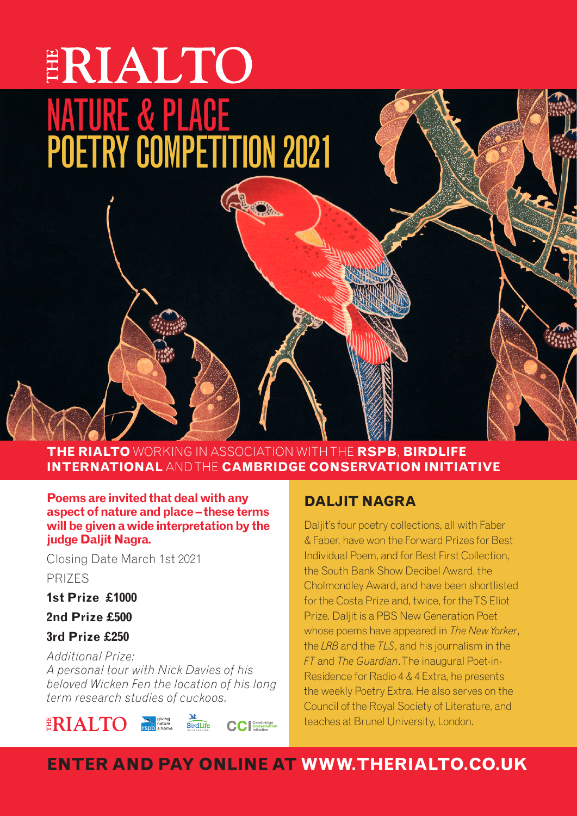# ERIALTO NATURE & PLACE POETRY COMPETITION 2021

**THE RIALTO** WORKING IN ASSOCIATION WITH THE **RSPB**, **BIRDLIFE INTERNATIONAL** AND THE **CAMBRIDGE CONSERVATION INITIATIVE**

**Poems are invited that deal with any aspect of nature and place – these terms will be given a wide interpretation by the judge Daljit Nagra.**

Closing Date March 1st 2021 PRIZES

**1st Prize £1000**

**2nd Prize £500**

**3rd Prize £250** 

ERIALTO

*Additional Prize: A personal tour with Nick Davies of his beloved Wicken Fen the location of his long term research studies of cuckoos.*

**BirdLife** 

### **DALJIT NAGRA**

Daljit's four poetry collections, all with Faber & Faber, have won the Forward Prizes for Best Individual Poem, and for Best First Collection, the South Bank Show Decibel Award, the Cholmondley Award, and have been shortlisted for the Costa Prize and, twice, for the TS Eliot Prize. Daljit is a PBS New Generation Poet whose poems have appeared in *The New Yorker*, the *LRB* and the *TLS*, and his journalism in the *FT* and *The Guardian*. The inaugural Poet-in-Residence for Radio 4 & 4 Extra, he presents the weekly Poetry Extra. He also serves on the Council of the Royal Society of Literature, and teaches at Brunel University, London.

## **ENTER AND PAY ONLINE AT WWW.THERIALTO.CO.UK**

**CC** Conservation